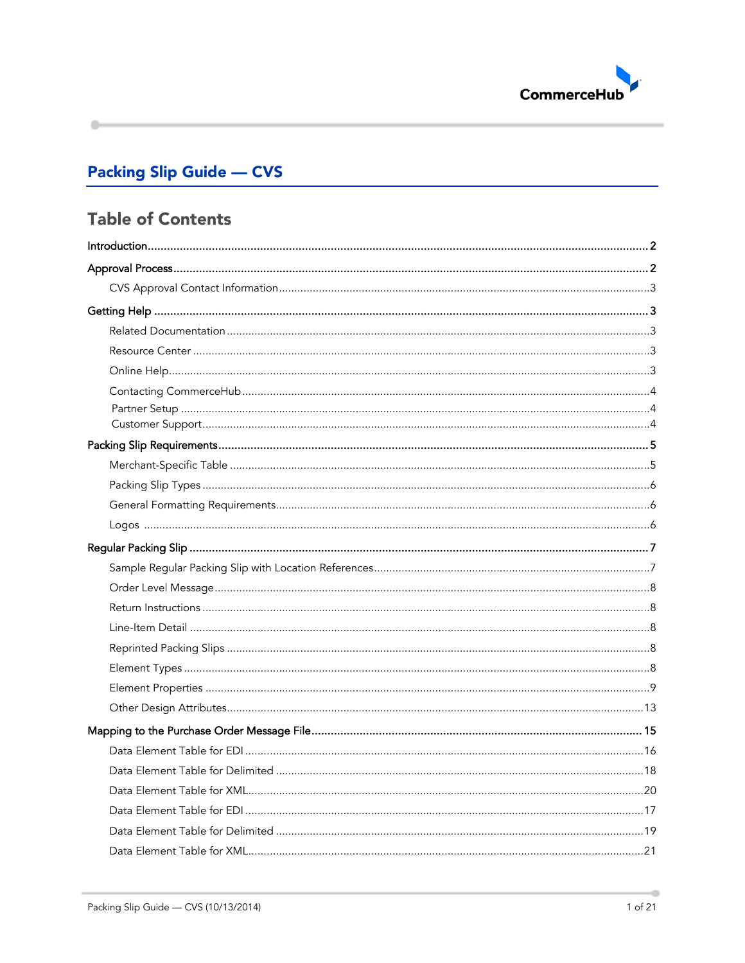

# **Packing Slip Guide - CVS**

# **Table of Contents**

۰

ä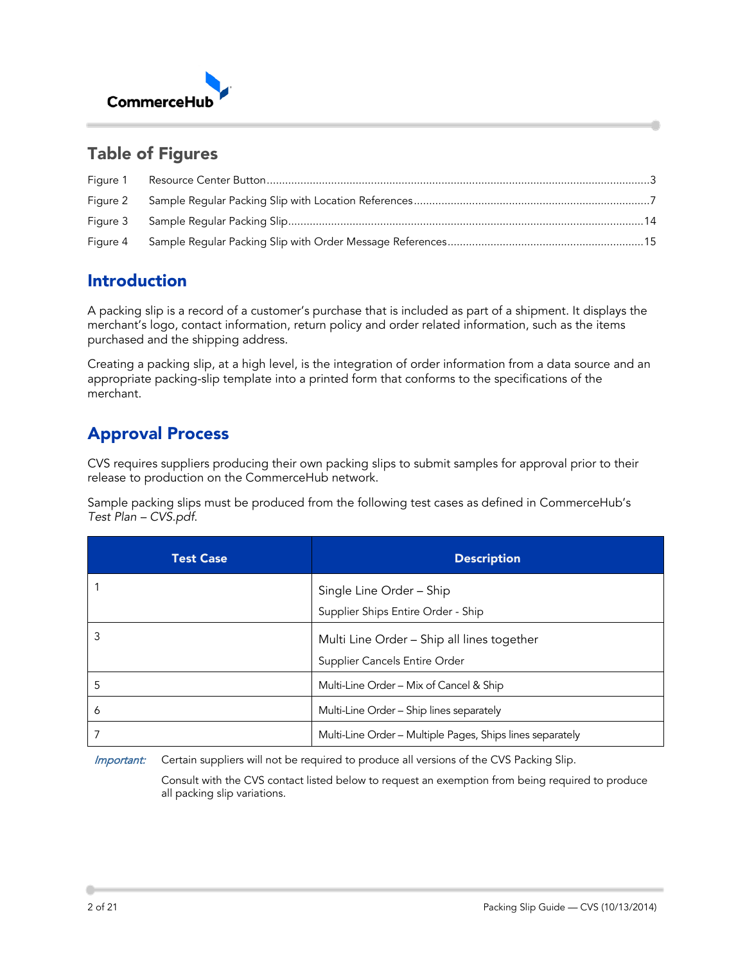

# Table of Figures

| Figure 1 |  |
|----------|--|
|          |  |
|          |  |
| Figure 4 |  |

# <span id="page-1-0"></span>Introduction

A packing slip is a record of a customer's purchase that is included as part of a shipment. It displays the merchant's logo, contact information, return policy and order related information, such as the items purchased and the shipping address.

Creating a packing slip, at a high level, is the integration of order information from a data source and an appropriate packing-slip template into a printed form that conforms to the specifications of the merchant.

# <span id="page-1-1"></span>Approval Process

CVS requires suppliers producing their own packing slips to submit samples for approval prior to their release to production on the CommerceHub network.

Sample packing slips must be produced from the following test cases as defined in CommerceHub's *Test Plan – CVS.pdf*.

| <b>Test Case</b> | <b>Description</b>                                        |
|------------------|-----------------------------------------------------------|
|                  | Single Line Order - Ship                                  |
|                  | Supplier Ships Entire Order - Ship                        |
| 3                | Multi Line Order - Ship all lines together                |
|                  | Supplier Cancels Entire Order                             |
| 5                | Multi-Line Order - Mix of Cancel & Ship                   |
| 6                | Multi-Line Order - Ship lines separately                  |
|                  | Multi-Line Order - Multiple Pages, Ships lines separately |

Important: Certain suppliers will not be required to produce all versions of the CVS Packing Slip.

Consult with the CVS contact listed below to request an exemption from being required to produce all packing slip variations.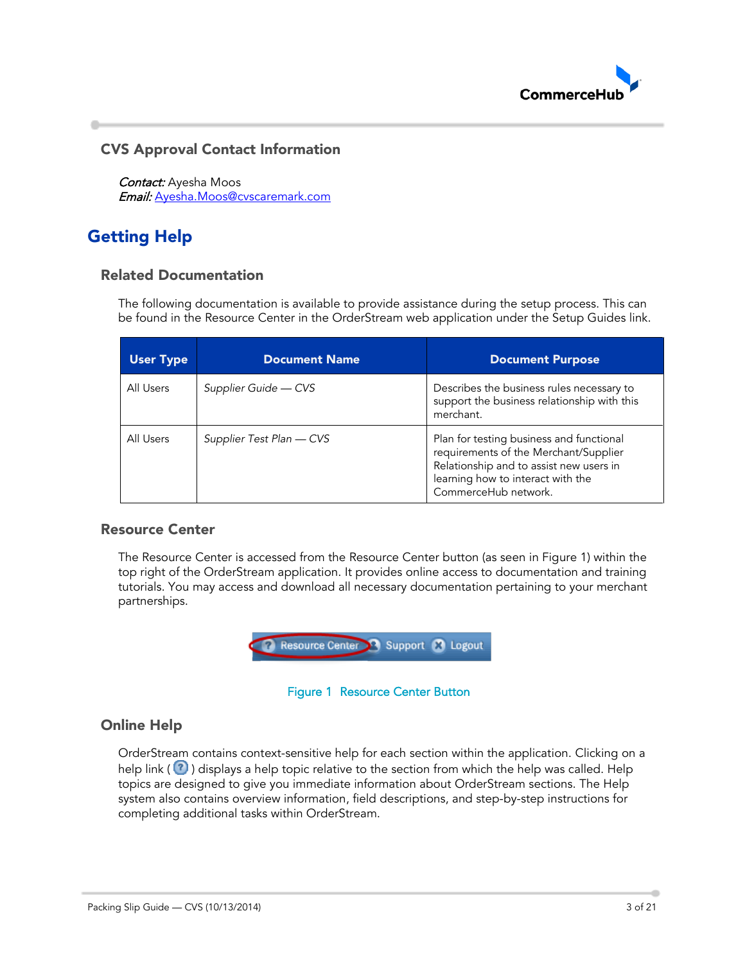

## <span id="page-2-0"></span>CVS Approval Contact Information

Contact: Ayesha Moos Email: [Ayesha.Moos@cvscaremark.com](mailto:Ayesha.Moos@cvscaremark.com)

# <span id="page-2-2"></span><span id="page-2-1"></span>Getting Help

### Related Documentation

The following documentation is available to provide assistance during the setup process. This can be found in the Resource Center in the OrderStream web application under the Setup Guides link.

| <b>User Type</b> | <b>Document Name</b>     | <b>Document Purpose</b>                                                                                                                                                                   |
|------------------|--------------------------|-------------------------------------------------------------------------------------------------------------------------------------------------------------------------------------------|
| All Users        | Supplier Guide — CVS     | Describes the business rules necessary to<br>support the business relationship with this<br>merchant.                                                                                     |
| All Users        | Supplier Test Plan — CVS | Plan for testing business and functional<br>requirements of the Merchant/Supplier<br>Relationship and to assist new users in<br>learning how to interact with the<br>CommerceHub network. |

### <span id="page-2-3"></span>Resource Center

The Resource Center is accessed from the Resource Center button (as seen in [Figure 1\)](#page-2-5) within the top right of the OrderStream application. It provides online access to documentation and training tutorials. You may access and download all necessary documentation pertaining to your merchant partnerships.



#### Figure 1 Resource Center Button

### <span id="page-2-5"></span><span id="page-2-4"></span>Online Help

OrderStream contains context-sensitive help for each section within the application. Clicking on a help link ( $\bigcirc$ ) displays a help topic relative to the section from which the help was called. Help topics are designed to give you immediate information about OrderStream sections. The Help system also contains overview information, field descriptions, and step-by-step instructions for completing additional tasks within OrderStream.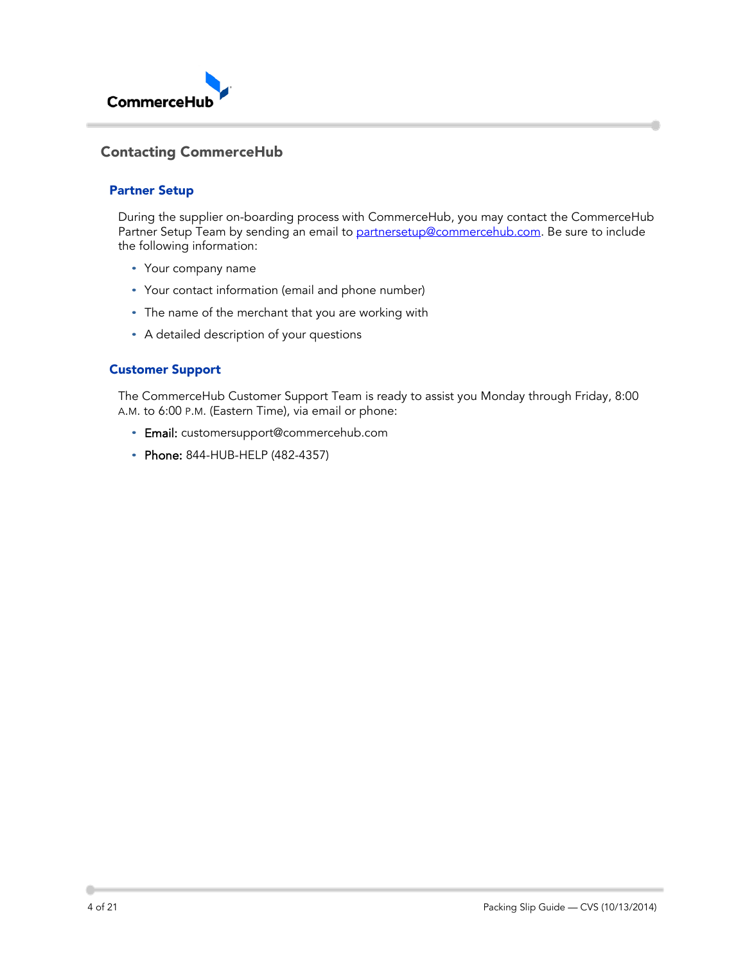

## <span id="page-3-1"></span><span id="page-3-0"></span>Contacting CommerceHub

#### Partner Setup

During the supplier on-boarding process with CommerceHub, you may contact the CommerceHub Partner Setup Team by sending an email to [partnersetup@commercehub.com.](mailto:partnersetup@commercehub.com) Be sure to include the following information:

- Your company name
- Your contact information (email and phone number)
- The name of the merchant that you are working with
- A detailed description of your questions

#### <span id="page-3-2"></span>Customer Support

The CommerceHub Customer Support Team is ready to assist you Monday through Friday, 8:00 A.M. to 6:00 P.M. (Eastern Time), via email or phone:

- Email: [customersupport@commercehub.com](mailto:customersupport@commercehub.com)
- Phone: 844-HUB-HELP (482-4357)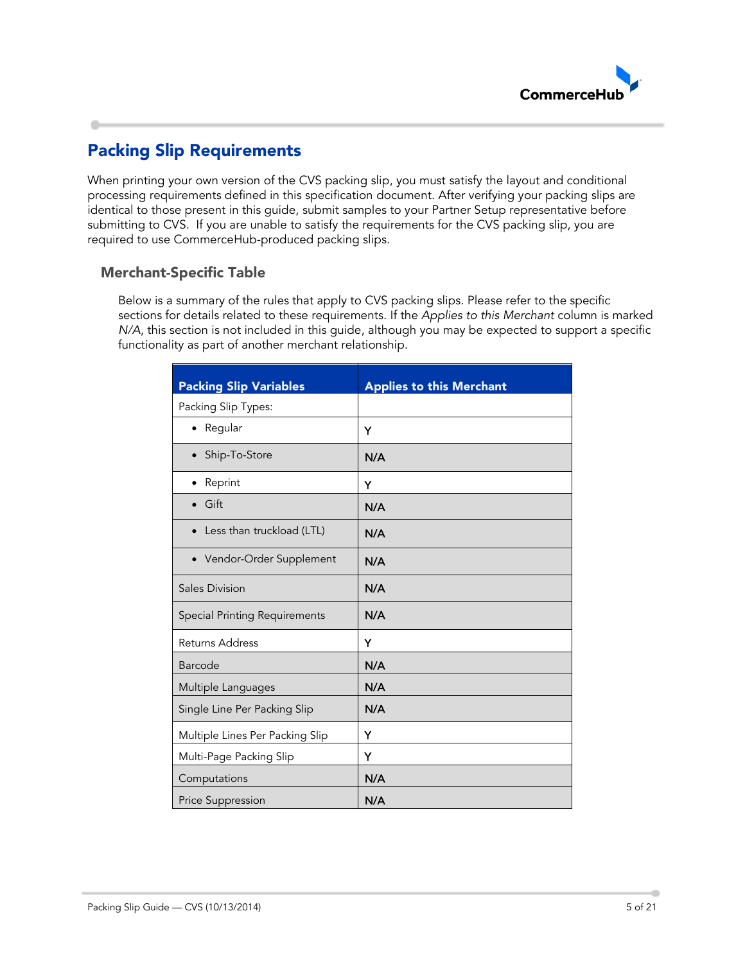

# <span id="page-4-0"></span>Packing Slip Requirements

When printing your own version of the CVS packing slip, you must satisfy the layout and conditional processing requirements defined in this specification document. After verifying your packing slips are identical to those present in this guide, submit samples to your Partner Setup representative before submitting to CVS. If you are unable to satisfy the requirements for the CVS packing slip, you are required to use CommerceHub-produced packing slips.

## <span id="page-4-1"></span>Merchant-Specific Table

Below is a summary of the rules that apply to CVS packing slips. Please refer to the specific sections for details related to these requirements. If the *Applies to this Merchant* column is marked *N/A*, this section is not included in this quide, although you may be expected to support a specific functionality as part of another merchant relationship.

| <b>Packing Slip Variables</b>        | <b>Applies to this Merchant</b> |
|--------------------------------------|---------------------------------|
| Packing Slip Types:                  |                                 |
| • Regular                            | Y                               |
| Ship-To-Store<br>$\bullet$           | N/A                             |
| Reprint                              | Y                               |
| Gift                                 | N/A                             |
| Less than truckload (LTL)            | N/A                             |
| Vendor-Order Supplement<br>$\bullet$ | N/A                             |
| <b>Sales Division</b>                | N/A                             |
| <b>Special Printing Requirements</b> | N/A                             |
| Returns Address                      | Y                               |
| <b>Barcode</b>                       | N/A                             |
| Multiple Languages                   | N/A                             |
| Single Line Per Packing Slip         | N/A                             |
| Multiple Lines Per Packing Slip      | Y                               |
| Multi-Page Packing Slip              | Y                               |
| Computations                         | N/A                             |
| Price Suppression                    | N/A                             |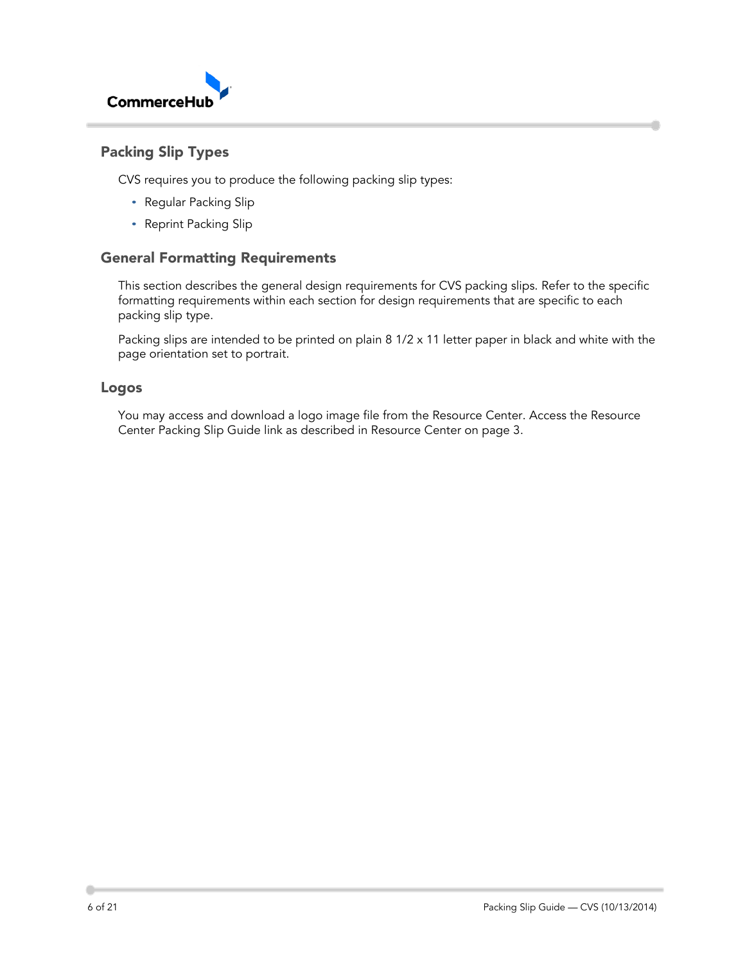

## <span id="page-5-0"></span>Packing Slip Types

CVS requires you to produce the following packing slip types:

- Regular Packing Slip
- Reprint Packing Slip

### <span id="page-5-1"></span>General Formatting Requirements

This section describes the general design requirements for CVS packing slips. Refer to the specific formatting requirements within each section for design requirements that are specific to each packing slip type.

Packing slips are intended to be printed on plain 8 1/2 x 11 letter paper in black and white with the page orientation set to portrait.

### <span id="page-5-2"></span>Logos

You may access and download a logo image file from the Resource Center. Access the Resource Center Packing Slip Guide link as described in Resource Center on page 3.

d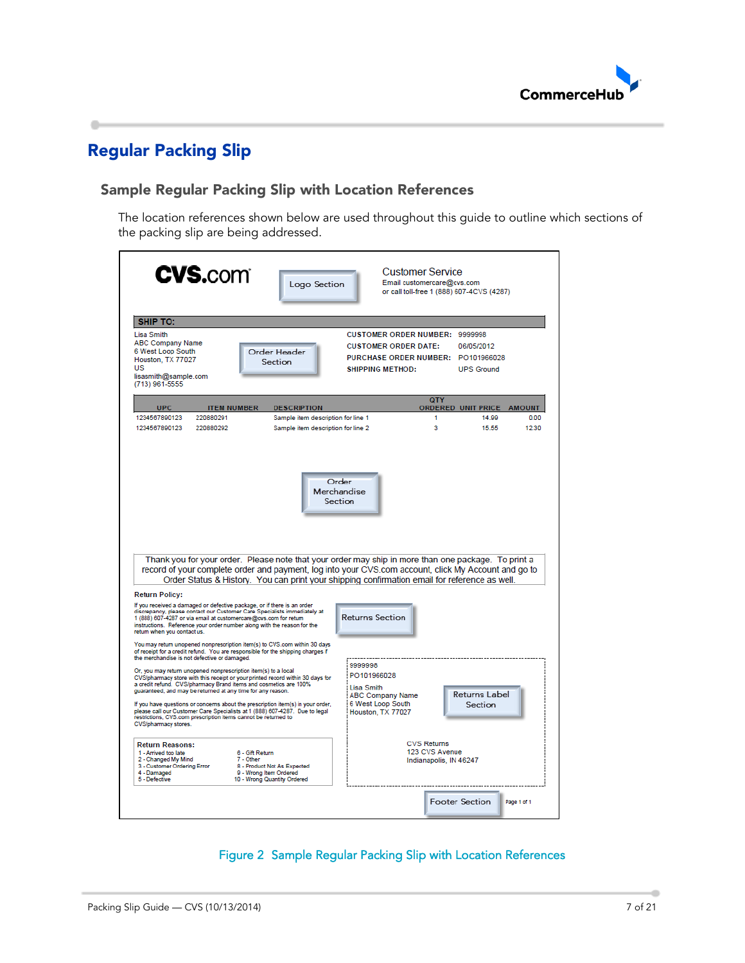

# <span id="page-6-0"></span>Regular Packing Slip

۰

## <span id="page-6-1"></span>Sample Regular Packing Slip with Location References

The location references shown below are used throughout this guide to outline which sections of the packing slip are being addressed.

| <b>CVS.com</b>                                                                                                                                                                                                                                                                                                                                                                                                                                                                                                                                  | Logo Section                                                                         |                                                                                                                                       | <b>Customer Service</b><br>Email customercare@cvs.com<br>or call toll-free 1 (888) 607-4CVS (4287) |                                 |
|-------------------------------------------------------------------------------------------------------------------------------------------------------------------------------------------------------------------------------------------------------------------------------------------------------------------------------------------------------------------------------------------------------------------------------------------------------------------------------------------------------------------------------------------------|--------------------------------------------------------------------------------------|---------------------------------------------------------------------------------------------------------------------------------------|----------------------------------------------------------------------------------------------------|---------------------------------|
| <b>SHIP TO:</b><br>Lisa Smith<br><b>ABC Company Name</b><br>6 West Loop South<br>Houston, TX 77027<br>US<br>lisasmith@sample.com<br>(713) 961-5555                                                                                                                                                                                                                                                                                                                                                                                              | Order Header<br>Section                                                              | <b>CUSTOMER ORDER NUMBER: 9999998</b><br><b>CUSTOMER ORDER DATE:</b><br>PURCHASE ORDER NUMBER: PO101966028<br><b>SHIPPING METHOD:</b> | 06/05/2012<br><b>UPS Ground</b><br>QTY                                                             |                                 |
| <b>UPC</b><br><b>ITEM NUMBER</b>                                                                                                                                                                                                                                                                                                                                                                                                                                                                                                                | <b>DESCRIPTION</b>                                                                   |                                                                                                                                       | ordered unit price                                                                                 | <b>AMOUNT</b>                   |
| 1234567890123<br>220880291<br>1234567890123<br>220880292                                                                                                                                                                                                                                                                                                                                                                                                                                                                                        | Sample item description for line 1<br>Sample item description for line 2             |                                                                                                                                       | 1<br>a                                                                                             | 14.99<br>0.00<br>12.30<br>15.55 |
| Thank you for your order. Please note that your order may ship in more than one package. To print a<br>record of your complete order and payment, log into your CVS.com account, click My Account and go to<br>Order Status & History. You can print your shipping confirmation email for reference as well.                                                                                                                                                                                                                                    |                                                                                      |                                                                                                                                       |                                                                                                    |                                 |
| <b>Return Policy:</b>                                                                                                                                                                                                                                                                                                                                                                                                                                                                                                                           |                                                                                      |                                                                                                                                       |                                                                                                    |                                 |
| If you received a damaged or defective package, or if there is an order<br>discrepancy, please contact our Customer Care Specialists immediately at<br>1 (888) 607-4287 or via email at customercare@cvs.com for return<br>instructions. Reference your order number along with the reason for the<br>return when you contact us.                                                                                                                                                                                                               |                                                                                      | <b>Returns Section</b>                                                                                                                |                                                                                                    |                                 |
| You may return unopened nonprescription item(s) to CVS.com within 30 days<br>of receipt for a credit refund. You are responsible for the shipping charges if<br>the merchandise is not defective or damaged.                                                                                                                                                                                                                                                                                                                                    |                                                                                      |                                                                                                                                       |                                                                                                    |                                 |
| Or, you may return unopened nonprescription item(s) to a local<br>CVS/pharmacy store with this receipt or your printed record within 30 days for<br>a credit refund. CVS/pharmacy Brand items and cosmetics are 100%<br>guaranteed, and may be returned at any time for any reason.<br>If you have questions or concerns about the prescription item(s) in your order,<br>please call our Customer Care Specialists at 1 (888) 607-4287. Due to legal<br>restrictions, CVS.com prescription items cannot be returned to<br>CVS/pharmacy stores. |                                                                                      | 9999998<br>PO101966028<br>Lisa Smith<br><b>ABC Company Name</b><br>6 West Loop South<br>Houston, TX 77027                             | <b>Returns Label</b><br>Section                                                                    |                                 |
| <b>Return Reasons:</b><br>1 - Arrived too late<br>6 - Gift Return<br>7 - Other<br>2 - Changed My Mind<br>3 - Customer Ordering Error<br>4 - Damaged<br>5 - Defective                                                                                                                                                                                                                                                                                                                                                                            | 8 - Product Not As Expected<br>9 - Wrong Item Ordered<br>10 - Wrong Quantity Ordered |                                                                                                                                       | <b>CVS Returns</b><br>123 CVS Avenue<br>Indianapolis, IN 46247                                     |                                 |
|                                                                                                                                                                                                                                                                                                                                                                                                                                                                                                                                                 |                                                                                      |                                                                                                                                       | <b>Footer Section</b>                                                                              | Page 1 of 1                     |

## <span id="page-6-2"></span>Figure 2 Sample Regular Packing Slip with Location References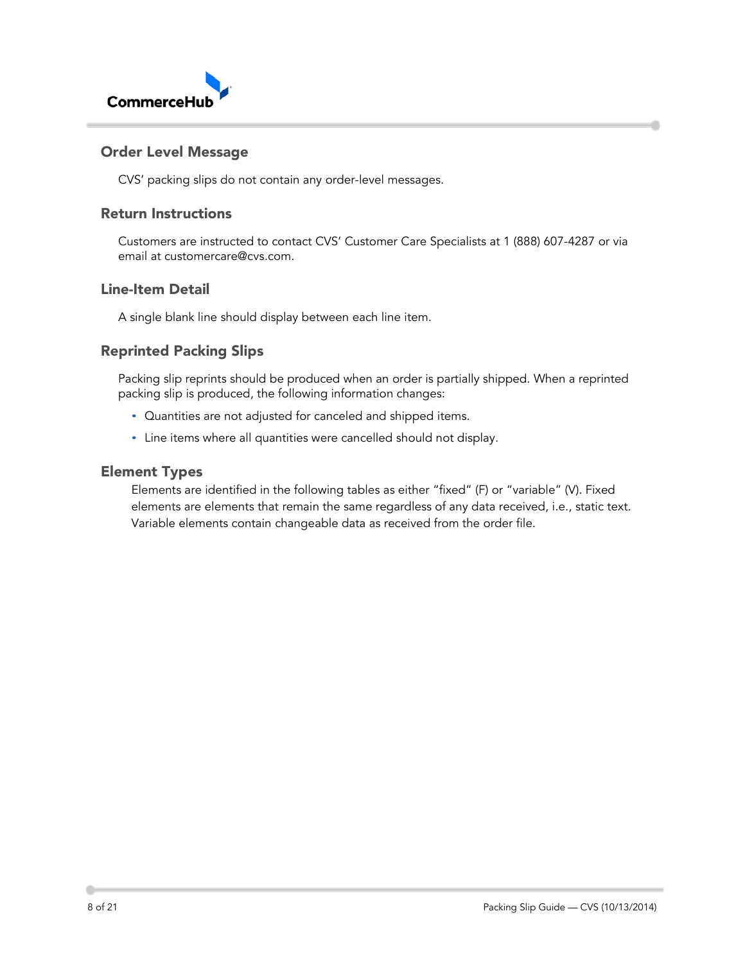

### <span id="page-7-0"></span>Order Level Message

CVS' packing slips do not contain any order-level messages.

### <span id="page-7-1"></span>Return Instructions

Customers are instructed to contact CVS' Customer Care Specialists at 1 (888) 607-4287 or via email at customercare@cvs.com.

### <span id="page-7-2"></span>Line-Item Detail

A single blank line should display between each line item.

## <span id="page-7-3"></span>Reprinted Packing Slips

Packing slip reprints should be produced when an order is partially shipped. When a reprinted packing slip is produced, the following information changes:

- Quantities are not adjusted for canceled and shipped items.
- Line items where all quantities were cancelled should not display.

### <span id="page-7-4"></span>Element Types

Elements are identified in the following tables as either "fixed" (F) or "variable" (V). Fixed elements are elements that remain the same regardless of any data received, i.e., static text. Variable elements contain changeable data as received from the order file.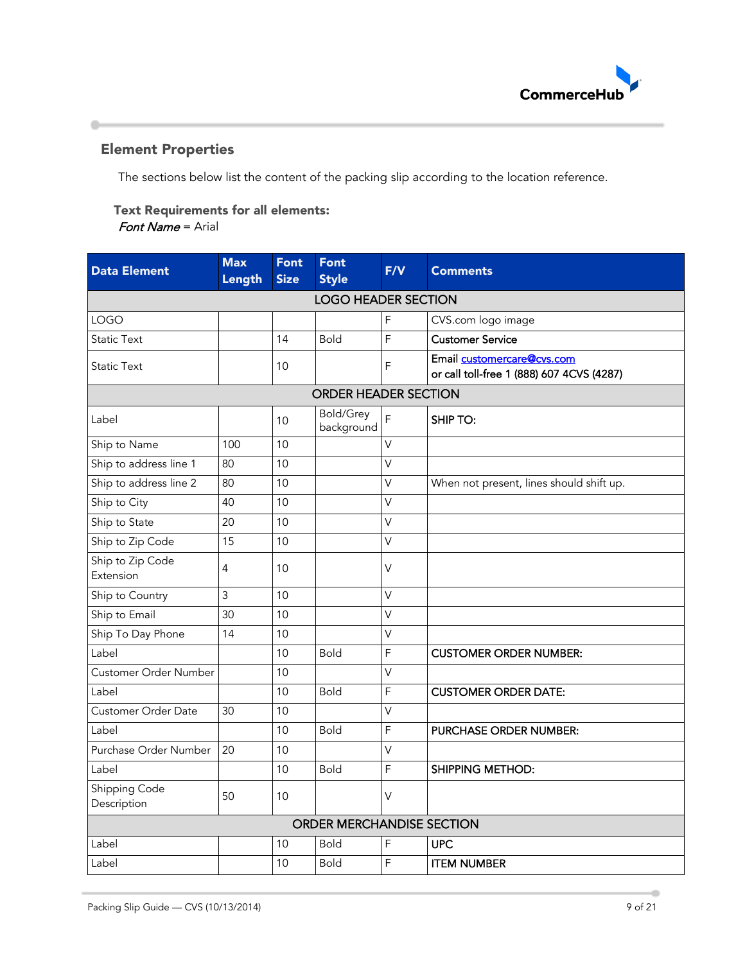

## <span id="page-8-0"></span>Element Properties

۰

The sections below list the content of the packing slip according to the location reference.

# Text Requirements for all elements:

Font Name = Arial

| <b>Data Element</b>           | <b>Max</b><br>Length | <b>Font</b><br><b>Size</b> | <b>Font</b><br><b>Style</b>      | F/V            | <b>Comments</b>                                                         |  |  |  |
|-------------------------------|----------------------|----------------------------|----------------------------------|----------------|-------------------------------------------------------------------------|--|--|--|
| <b>LOGO HEADER SECTION</b>    |                      |                            |                                  |                |                                                                         |  |  |  |
| <b>LOGO</b>                   |                      |                            |                                  | F              | CVS.com logo image                                                      |  |  |  |
| <b>Static Text</b>            |                      | 14                         | <b>Bold</b>                      | $\mathsf F$    | <b>Customer Service</b>                                                 |  |  |  |
| <b>Static Text</b>            |                      | 10                         |                                  | F              | Email customercare@cvs.com<br>or call toll-free 1 (888) 607 4CVS (4287) |  |  |  |
| <b>ORDER HEADER SECTION</b>   |                      |                            |                                  |                |                                                                         |  |  |  |
| Label                         |                      | 10                         | <b>Bold/Grey</b><br>background   | F              | <b>SHIP TO:</b>                                                         |  |  |  |
| Ship to Name                  | 100                  | 10                         |                                  | $\vee$         |                                                                         |  |  |  |
| Ship to address line 1        | 80                   | 10                         |                                  | V              |                                                                         |  |  |  |
| Ship to address line 2        | 80                   | 10                         |                                  | $\vee$         | When not present, lines should shift up.                                |  |  |  |
| Ship to City                  | 40                   | 10                         |                                  | $\vee$         |                                                                         |  |  |  |
| Ship to State                 | 20                   | 10                         |                                  | V              |                                                                         |  |  |  |
| Ship to Zip Code              | 15                   | 10                         |                                  | $\vee$         |                                                                         |  |  |  |
| Ship to Zip Code<br>Extension | $\overline{4}$       | 10                         |                                  | $\vee$         |                                                                         |  |  |  |
| Ship to Country               | 3                    | 10                         |                                  | V              |                                                                         |  |  |  |
| Ship to Email                 | 30                   | 10                         |                                  | V              |                                                                         |  |  |  |
| Ship To Day Phone             | 14                   | 10                         |                                  | $\vee$         |                                                                         |  |  |  |
| Label                         |                      | 10                         | <b>Bold</b>                      | F              | <b>CUSTOMER ORDER NUMBER:</b>                                           |  |  |  |
| Customer Order Number         |                      | 10                         |                                  | V              |                                                                         |  |  |  |
| Label                         |                      | 10                         | <b>Bold</b>                      | F              | <b>CUSTOMER ORDER DATE:</b>                                             |  |  |  |
| <b>Customer Order Date</b>    | 30                   | 10                         |                                  | V              |                                                                         |  |  |  |
| Label                         |                      | 10                         | <b>Bold</b>                      | F              | PURCHASE ORDER NUMBER:                                                  |  |  |  |
| Purchase Order Number         | 20                   | 10                         |                                  | $\vee$         |                                                                         |  |  |  |
| Label                         |                      | 10                         | <b>Bold</b>                      | $\overline{F}$ | <b>SHIPPING METHOD:</b>                                                 |  |  |  |
| Shipping Code<br>Description  | 50                   | 10                         |                                  | V              |                                                                         |  |  |  |
|                               |                      |                            | <b>ORDER MERCHANDISE SECTION</b> |                |                                                                         |  |  |  |
| Label                         |                      | 10                         | <b>Bold</b>                      | F              | <b>UPC</b>                                                              |  |  |  |
| Label                         |                      | 10                         | <b>Bold</b>                      | F              | <b>ITEM NUMBER</b>                                                      |  |  |  |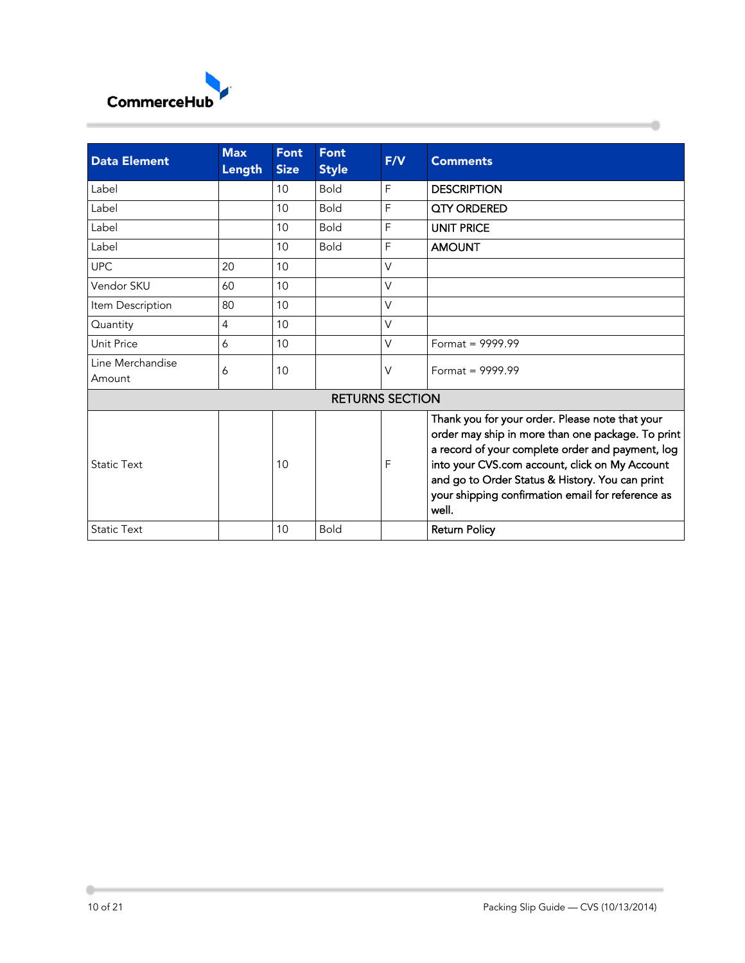

| <b>Data Element</b>        | <b>Max</b><br>Length | <b>Font</b><br><b>Size</b> | <b>Font</b><br><b>Style</b> | F/V          | <b>Comments</b>                                                                                                                                                                                                                                                                                                             |
|----------------------------|----------------------|----------------------------|-----------------------------|--------------|-----------------------------------------------------------------------------------------------------------------------------------------------------------------------------------------------------------------------------------------------------------------------------------------------------------------------------|
| Label                      |                      | 10                         | <b>Bold</b>                 | F            | <b>DESCRIPTION</b>                                                                                                                                                                                                                                                                                                          |
| Label                      |                      | 10                         | <b>Bold</b>                 | F            | QTY ORDERED                                                                                                                                                                                                                                                                                                                 |
| Label                      |                      | 10                         | <b>Bold</b>                 | $\mathsf{F}$ | <b>UNIT PRICE</b>                                                                                                                                                                                                                                                                                                           |
| Label                      |                      | 10                         | <b>Bold</b>                 | F            | <b>AMOUNT</b>                                                                                                                                                                                                                                                                                                               |
| <b>UPC</b>                 | 20                   | 10                         |                             | $\vee$       |                                                                                                                                                                                                                                                                                                                             |
| Vendor SKU                 | 60                   | 10                         |                             | $\vee$       |                                                                                                                                                                                                                                                                                                                             |
| Item Description           | 80                   | 10                         |                             | $\vee$       |                                                                                                                                                                                                                                                                                                                             |
| Quantity                   | 4                    | 10                         |                             | V            |                                                                                                                                                                                                                                                                                                                             |
| Unit Price                 | 6                    | 10                         |                             | $\vee$       | Format = $9999.99$                                                                                                                                                                                                                                                                                                          |
| Line Merchandise<br>Amount | 6                    | 10                         |                             | $\vee$       | Format = $9999.99$                                                                                                                                                                                                                                                                                                          |
|                            |                      |                            | <b>RETURNS SECTION</b>      |              |                                                                                                                                                                                                                                                                                                                             |
| <b>Static Text</b>         |                      | 10                         |                             | F            | Thank you for your order. Please note that your<br>order may ship in more than one package. To print<br>a record of your complete order and payment, log<br>into your CVS.com account, click on My Account<br>and go to Order Status & History. You can print<br>your shipping confirmation email for reference as<br>well. |
| <b>Static Text</b>         |                      | 10                         | <b>Bold</b>                 |              | <b>Return Policy</b>                                                                                                                                                                                                                                                                                                        |

 $\frac{1}{2}$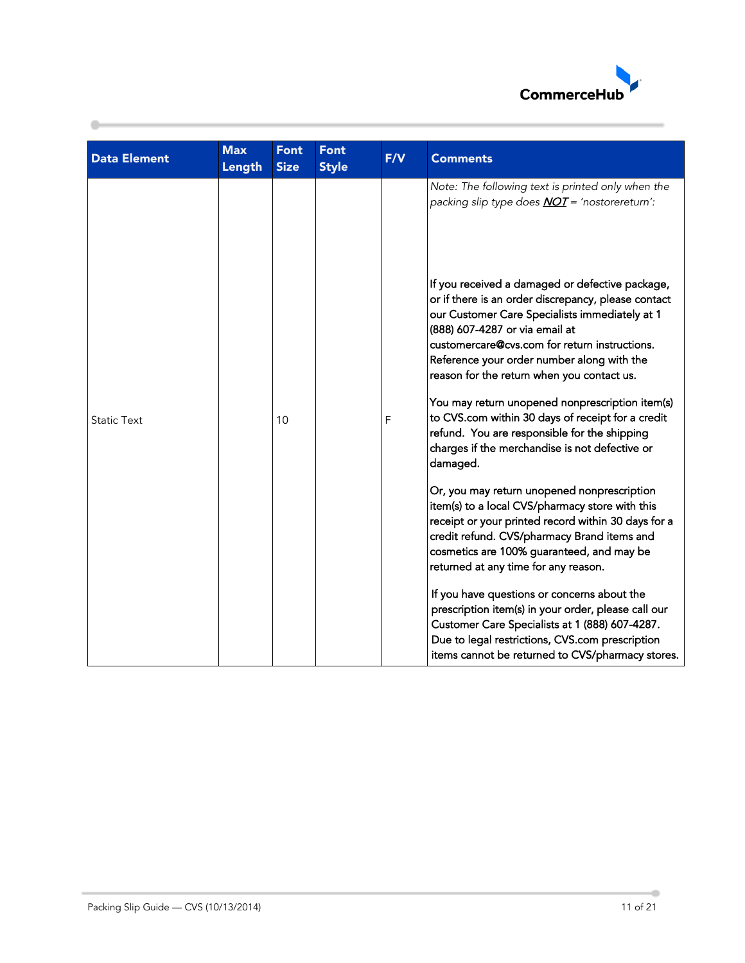

| <b>Data Element</b> | <b>Max</b><br>Length | <b>Font</b><br><b>Size</b> | Font<br><b>Style</b> | F/V         | <b>Comments</b>                                                                                                                                                                                                                                                                                                                                                                                                                                                                                                                                               |
|---------------------|----------------------|----------------------------|----------------------|-------------|---------------------------------------------------------------------------------------------------------------------------------------------------------------------------------------------------------------------------------------------------------------------------------------------------------------------------------------------------------------------------------------------------------------------------------------------------------------------------------------------------------------------------------------------------------------|
|                     |                      |                            |                      |             | Note: The following text is printed only when the<br>packing slip type does <b>NOT</b> = 'nostorereturn':                                                                                                                                                                                                                                                                                                                                                                                                                                                     |
| <b>Static Text</b>  |                      | 10                         |                      | $\mathsf F$ | If you received a damaged or defective package,<br>or if there is an order discrepancy, please contact<br>our Customer Care Specialists immediately at 1<br>(888) 607-4287 or via email at<br>customercare@cvs.com for return instructions.<br>Reference your order number along with the<br>reason for the return when you contact us.<br>You may return unopened nonprescription item(s)<br>to CVS.com within 30 days of receipt for a credit<br>refund. You are responsible for the shipping<br>charges if the merchandise is not defective or<br>damaged. |
|                     |                      |                            |                      |             | Or, you may return unopened nonprescription<br>item(s) to a local CVS/pharmacy store with this<br>receipt or your printed record within 30 days for a<br>credit refund. CVS/pharmacy Brand items and<br>cosmetics are 100% guaranteed, and may be<br>returned at any time for any reason.                                                                                                                                                                                                                                                                     |
|                     |                      |                            |                      |             | If you have questions or concerns about the<br>prescription item(s) in your order, please call our<br>Customer Care Specialists at 1 (888) 607-4287.<br>Due to legal restrictions, CVS.com prescription<br>items cannot be returned to CVS/pharmacy stores.                                                                                                                                                                                                                                                                                                   |

۰

۰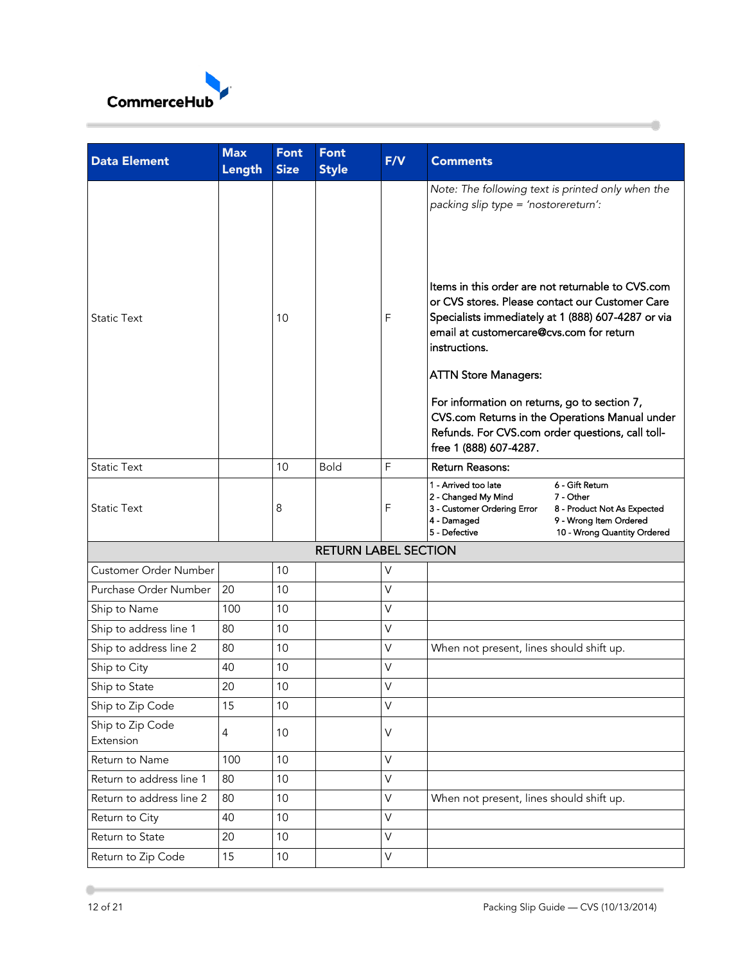

| <b>Data Element</b>           | <b>Max</b><br>Length | <b>Font</b><br><b>Size</b> | <b>Font</b><br><b>Style</b> | F/V         | <b>Comments</b>                                                                                                                                                                                                                                                                                                                                                                                                                                                                                                                     |                                                                                                                      |
|-------------------------------|----------------------|----------------------------|-----------------------------|-------------|-------------------------------------------------------------------------------------------------------------------------------------------------------------------------------------------------------------------------------------------------------------------------------------------------------------------------------------------------------------------------------------------------------------------------------------------------------------------------------------------------------------------------------------|----------------------------------------------------------------------------------------------------------------------|
| <b>Static Text</b>            |                      | 10                         |                             | F           | Note: The following text is printed only when the<br>packing slip type = 'nostorereturn':<br>Items in this order are not returnable to CVS.com<br>or CVS stores. Please contact our Customer Care<br>Specialists immediately at 1 (888) 607-4287 or via<br>email at customercare@cvs.com for return<br>instructions.<br><b>ATTN Store Managers:</b><br>For information on returns, go to section 7,<br>CVS.com Returns in the Operations Manual under<br>Refunds. For CVS.com order questions, call toll-<br>free 1 (888) 607-4287. |                                                                                                                      |
| <b>Static Text</b>            |                      | 10                         | <b>Bold</b>                 | F           | <b>Return Reasons:</b>                                                                                                                                                                                                                                                                                                                                                                                                                                                                                                              |                                                                                                                      |
| <b>Static Text</b>            |                      | 8                          |                             | F           | 1 - Arrived too late<br>2 - Changed My Mind<br>3 - Customer Ordering Error<br>4 - Damaged<br>5 - Defective                                                                                                                                                                                                                                                                                                                                                                                                                          | 6 - Gift Return<br>7 - Other<br>8 - Product Not As Expected<br>9 - Wrong Item Ordered<br>10 - Wrong Quantity Ordered |
|                               |                      |                            | <b>RETURN LABEL SECTION</b> |             |                                                                                                                                                                                                                                                                                                                                                                                                                                                                                                                                     |                                                                                                                      |
| Customer Order Number         |                      | 10                         |                             | V           |                                                                                                                                                                                                                                                                                                                                                                                                                                                                                                                                     |                                                                                                                      |
| Purchase Order Number         | 20                   | 10                         |                             | $\vee$      |                                                                                                                                                                                                                                                                                                                                                                                                                                                                                                                                     |                                                                                                                      |
| Ship to Name                  | 100                  | 10                         |                             | $\vee$      |                                                                                                                                                                                                                                                                                                                                                                                                                                                                                                                                     |                                                                                                                      |
| Ship to address line 1        | 80                   | 10                         |                             | V           |                                                                                                                                                                                                                                                                                                                                                                                                                                                                                                                                     |                                                                                                                      |
| Ship to address line 2        | 80                   | 10                         |                             | $\vee$      | When not present, lines should shift up.                                                                                                                                                                                                                                                                                                                                                                                                                                                                                            |                                                                                                                      |
| Ship to City                  | 40                   | 10                         |                             | $\vee$      |                                                                                                                                                                                                                                                                                                                                                                                                                                                                                                                                     |                                                                                                                      |
| Ship to State                 | 20                   | 10                         |                             | V           |                                                                                                                                                                                                                                                                                                                                                                                                                                                                                                                                     |                                                                                                                      |
| Ship to Zip Code              | 15                   | 10                         |                             | $\vee$      |                                                                                                                                                                                                                                                                                                                                                                                                                                                                                                                                     |                                                                                                                      |
| Ship to Zip Code<br>Extension | $\overline{4}$       | 10                         |                             | $\vee$      |                                                                                                                                                                                                                                                                                                                                                                                                                                                                                                                                     |                                                                                                                      |
| Return to Name                | 100                  | 10                         |                             | $\vee$      |                                                                                                                                                                                                                                                                                                                                                                                                                                                                                                                                     |                                                                                                                      |
| Return to address line 1      | 80                   | 10                         |                             | $\vee$      |                                                                                                                                                                                                                                                                                                                                                                                                                                                                                                                                     |                                                                                                                      |
| Return to address line 2      | 80                   | 10                         |                             | V           | When not present, lines should shift up.                                                                                                                                                                                                                                                                                                                                                                                                                                                                                            |                                                                                                                      |
| Return to City                | 40                   | 10                         |                             | $\mathsf V$ |                                                                                                                                                                                                                                                                                                                                                                                                                                                                                                                                     |                                                                                                                      |
| Return to State               | 20                   | 10                         |                             | $\vee$      |                                                                                                                                                                                                                                                                                                                                                                                                                                                                                                                                     |                                                                                                                      |
| Return to Zip Code            | 15                   | $10$                       |                             | V           |                                                                                                                                                                                                                                                                                                                                                                                                                                                                                                                                     |                                                                                                                      |

á

 $\leftarrow$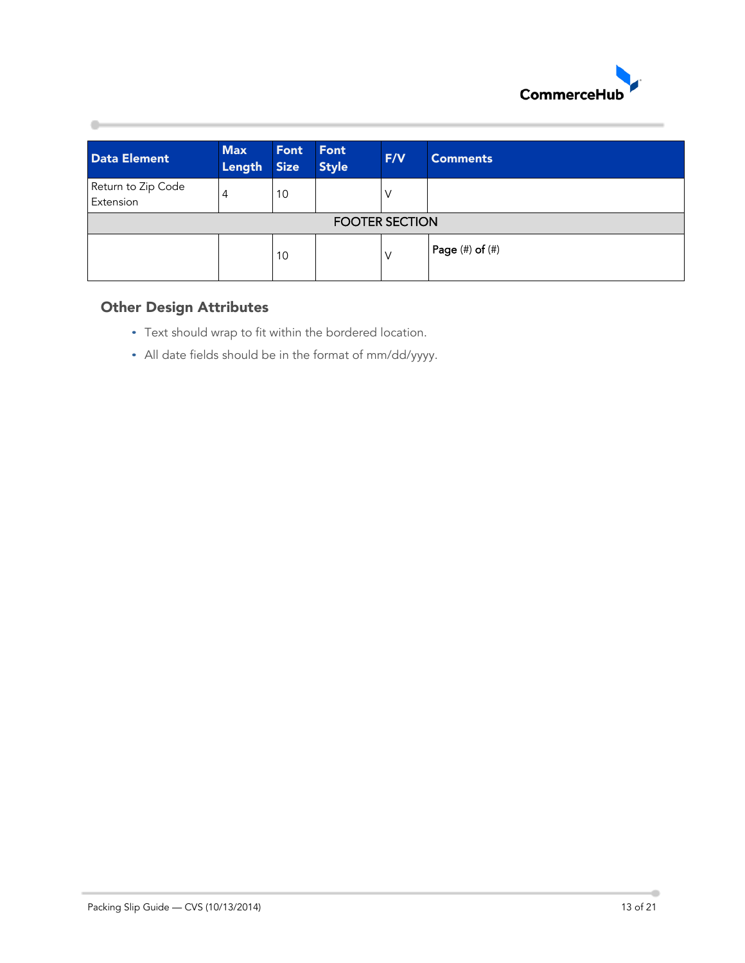

| <b>Data Element</b>             | <b>Max</b><br>Length | Font<br><b>Size</b> | Font<br><b>Style</b> | F/V | <b>Comments</b> |  |  |
|---------------------------------|----------------------|---------------------|----------------------|-----|-----------------|--|--|
| Return to Zip Code<br>Extension | 4                    | 10                  |                      |     |                 |  |  |
| <b>FOOTER SECTION</b>           |                      |                     |                      |     |                 |  |  |
|                                 |                      | 10                  |                      | V   | Page (#) of (#) |  |  |

## <span id="page-12-0"></span>Other Design Attributes

- Text should wrap to fit within the bordered location.
- All date fields should be in the format of mm/dd/yyyy.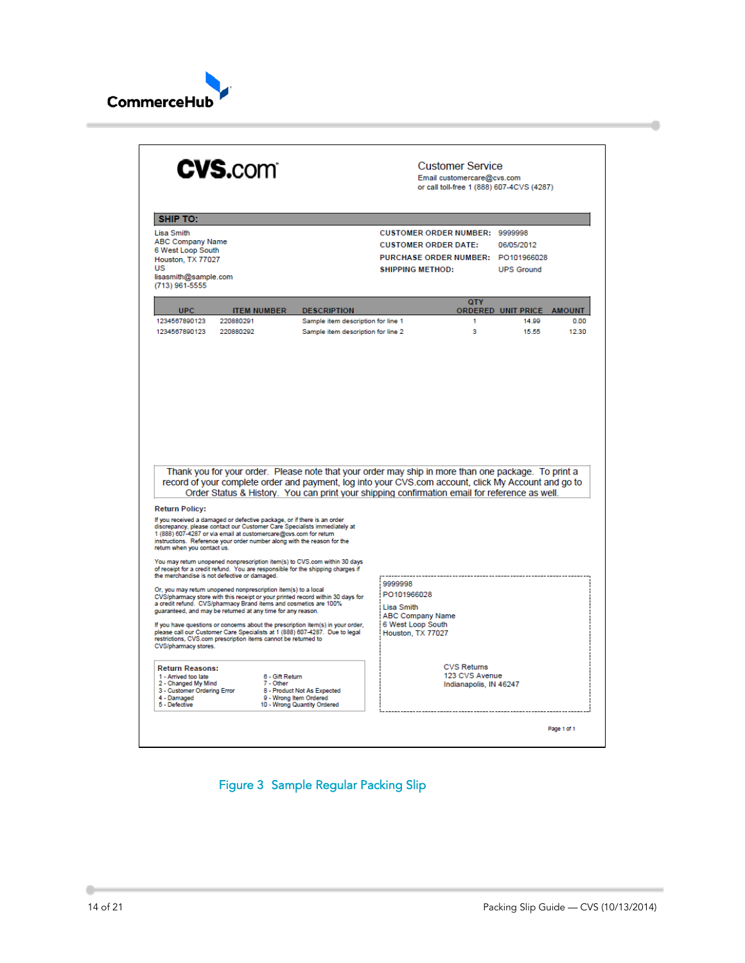

| <b>CVS.com</b>                                                                                                                                                                                                                                                                                                                                                                                                                                                                                                                                                             | <b>Customer Service</b><br>Email customercare@cvs.com<br>or call toll-free 1 (888) 607-4CVS (4287)                                                                                                                                                                                                           |  |  |  |  |  |
|----------------------------------------------------------------------------------------------------------------------------------------------------------------------------------------------------------------------------------------------------------------------------------------------------------------------------------------------------------------------------------------------------------------------------------------------------------------------------------------------------------------------------------------------------------------------------|--------------------------------------------------------------------------------------------------------------------------------------------------------------------------------------------------------------------------------------------------------------------------------------------------------------|--|--|--|--|--|
| <b>SHIP TO:</b><br>Lisa Smith<br><b>ABC Company Name</b><br>6 West Loop South<br>Houston, TX 77027<br>US<br>lisasmith@sample.com                                                                                                                                                                                                                                                                                                                                                                                                                                           | <b>CUSTOMER ORDER NUMBER: 9999998</b><br><b>CUSTOMER ORDER DATE:</b><br>06/05/2012<br>PURCHASE ORDER NUMBER: PO101966028<br><b>SHIPPING METHOD:</b><br><b>UPS Ground</b>                                                                                                                                     |  |  |  |  |  |
| (713) 961-5555<br><b>UPC</b><br><b>ITEM NUMBER</b><br><b>DESCRIPTION</b><br>220880291<br>1234567890123<br>1234567890123<br>220880292                                                                                                                                                                                                                                                                                                                                                                                                                                       | <b>QTY</b><br><b>ORDERED UNIT PRICE</b><br><b>AMOUNT</b><br>Sample item description for line 1<br>14.99<br>0.00<br>1<br>3<br>15.55<br>12.30<br>Sample item description for line 2                                                                                                                            |  |  |  |  |  |
|                                                                                                                                                                                                                                                                                                                                                                                                                                                                                                                                                                            | Thank you for your order. Please note that your order may ship in more than one package. To print a<br>record of your complete order and payment, log into your CVS.com account, click My Account and go to<br>Order Status & History. You can print your shipping confirmation email for reference as well. |  |  |  |  |  |
| <b>Return Policy:</b><br>If you received a damaged or defective package, or if there is an order<br>discrepancy, please contact our Customer Care Specialists immediately at<br>1 (888) 607-4287 or via email at customercare@cvs.com for return<br>instructions. Reference your order number along with the reason for the<br>return when you contact us.<br>You may return unopened nonprescription item(s) to CVS.com within 30 days<br>of receipt for a credit refund. You are responsible for the shipping charges if<br>the merchandise is not defective or damaged. | 9999998                                                                                                                                                                                                                                                                                                      |  |  |  |  |  |
| Or, you may return unopened nonprescription item(s) to a local<br>CVS/pharmacy store with this receipt or your printed record within 30 days for<br>a credit refund. CVS/pharmacy Brand items and cosmetics are 100%<br>guaranteed, and may be returned at any time for any reason.<br>If you have questions or concerns about the prescription item(s) in your order,<br>please call our Customer Care Specialists at 1 (888) 607-4287. Due to legal<br>restrictions, CVS.com prescription items cannot be returned to<br>CVS/pharmacy stores.                            | PO101966028<br><b>Lisa Smith</b><br><b>ABC Company Name</b><br>6 West Loop South<br>Houston, TX 77027                                                                                                                                                                                                        |  |  |  |  |  |
| <b>Return Reasons:</b><br>1 - Arrived too late<br>6 - Gift Return<br>2 - Changed My Mind<br>7 - Other<br>3 - Customer Ordering Error<br>8 - Product Not As Expected<br>4 - Damaged<br>9 - Wrong Item Ordered<br>5 - Defective<br>10 - Wrong Quantity Ordered                                                                                                                                                                                                                                                                                                               | <b>CVS Returns</b><br>123 CVS Avenue<br>Indianapolis, IN 46247                                                                                                                                                                                                                                               |  |  |  |  |  |
|                                                                                                                                                                                                                                                                                                                                                                                                                                                                                                                                                                            | Page 1 of 1                                                                                                                                                                                                                                                                                                  |  |  |  |  |  |

<span id="page-13-0"></span>Figure 3 Sample Regular Packing Slip

 $\leftarrow$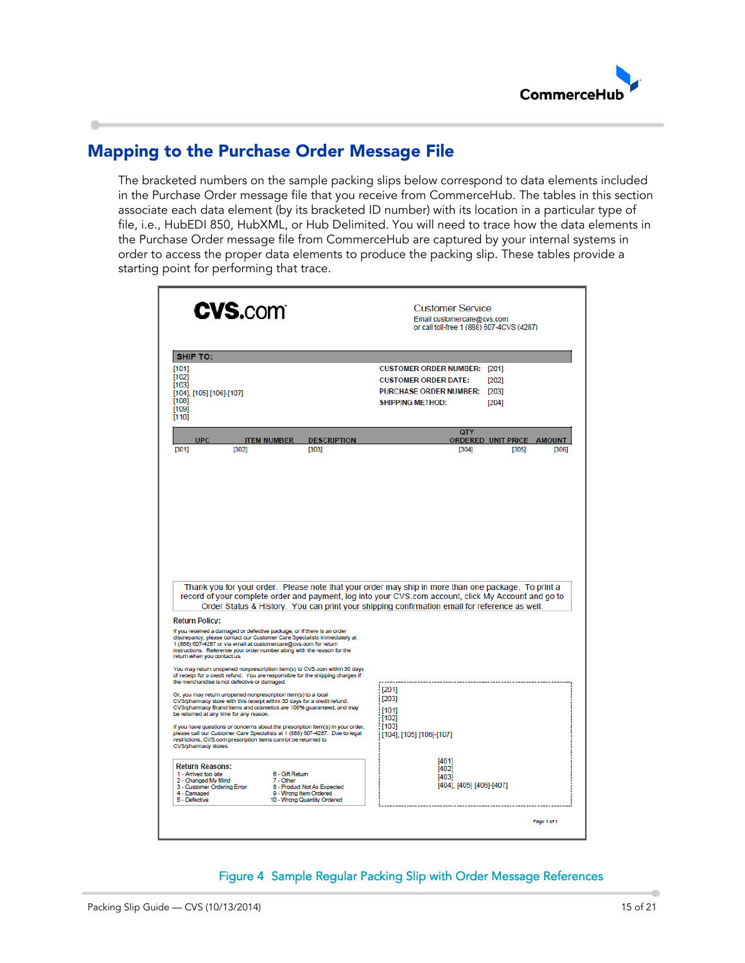

# <span id="page-14-0"></span>Mapping to the Purchase Order Message File

The bracketed numbers on the sample packing slips below correspond to data elements included in the Purchase Order message file that you receive from CommerceHub. The tables in this section associate each data element (by its bracketed ID number) with its location in a particular type of file, i.e., HubEDI 850, HubXML, or Hub Delimited. You will need to trace how the data elements in the Purchase Order message file from CommerceHub are captured by your internal systems in order to access the proper data elements to produce the packing slip. These tables provide a starting point for performing that trace.

| <b>SHIP TO:</b><br><b>CUSTOMER ORDER NUMBER: [201]</b><br>[101]<br>[102]<br><b>CUSTOMER ORDER DATE:</b><br>[202]<br>[103]<br><b>PURCHASE ORDER NUMBER:</b><br>[203]<br>[104], [105] [106]-[107]<br>[108]<br><b>SHIPPING METHOD:</b><br>[204]<br>[109]<br>[110]<br><b>QTY</b><br><b>UPC</b><br><b>DESCRIPTION</b><br><b>ITEM NUMBER</b><br>ORDERED UNIT PRICE AMOUNT<br><b>F3011</b><br>[302]<br>[303]<br>[304]<br>[305]<br>[306]<br>Thank you for your order. Please note that your order may ship in more than one package. To print a<br>record of your complete order and payment, log into your CVS.com account, click My Account and go to<br>Order Status & History. You can print your shipping confirmation email for reference as well.<br><b>Return Policy:</b><br>If you received a damaged or defective package, or if there is an order<br>discrepancy, please contact our Customer Care Specialists immediately at<br>1 (888) 607-4287 or via email at customercare@cvs.com for return<br>instructions. Reference your order number along with the reason for the<br>return when you contact us.<br>You may return unopened nonprescription item(s) to CVS.com within 30 days<br>of receipt for a credit refund. You are responsible for the shipping charges if<br>the merchandise is not defective or damaged.<br>[201]<br>Or, you may return unopened nonprescription item(s) to a local<br>[203]<br>CVS/pharmacy store with this receipt within 30 days for a credit refund.<br>CVS/pharmacy Brand items and cosmetics are 100% guaranteed, and may<br>[101]<br>be returned at any time for any reason.<br>[102]<br>[103]<br>If you have questions or concerns about the prescription item(s) in your order,<br>please call our Customer Care Specialists at 1 (888) 607-4287. Due to legal<br>[104], [105] [106]-[107]<br>restrictions, CVS.com prescription items cannot be returned to<br>CVS/pharmacy stores.<br>[401]<br><b>Return Reasons:</b><br>[402]<br>6 - Gift Return<br>1 - Arrived too late<br>[403]<br>2 - Changed My Mind<br>7 - Other<br>[404], [405] [406]-[407]<br>8 - Product Not As Expected<br>3 - Customer Ordering Error<br>4 - Damaged<br>9 - Wrong Item Ordered<br>5 - Defective<br>10 - Wrong Quantity Ordered | <b>CVS.com</b> | <b>Customer Service</b><br>Email customercare@cvs.com<br>or call toll-free 1 (888) 607-4CVS (4287) |
|------------------------------------------------------------------------------------------------------------------------------------------------------------------------------------------------------------------------------------------------------------------------------------------------------------------------------------------------------------------------------------------------------------------------------------------------------------------------------------------------------------------------------------------------------------------------------------------------------------------------------------------------------------------------------------------------------------------------------------------------------------------------------------------------------------------------------------------------------------------------------------------------------------------------------------------------------------------------------------------------------------------------------------------------------------------------------------------------------------------------------------------------------------------------------------------------------------------------------------------------------------------------------------------------------------------------------------------------------------------------------------------------------------------------------------------------------------------------------------------------------------------------------------------------------------------------------------------------------------------------------------------------------------------------------------------------------------------------------------------------------------------------------------------------------------------------------------------------------------------------------------------------------------------------------------------------------------------------------------------------------------------------------------------------------------------------------------------------------------------------------------------------------------------------------------------------------------------------------------------------------------|----------------|----------------------------------------------------------------------------------------------------|
|                                                                                                                                                                                                                                                                                                                                                                                                                                                                                                                                                                                                                                                                                                                                                                                                                                                                                                                                                                                                                                                                                                                                                                                                                                                                                                                                                                                                                                                                                                                                                                                                                                                                                                                                                                                                                                                                                                                                                                                                                                                                                                                                                                                                                                                            |                |                                                                                                    |
|                                                                                                                                                                                                                                                                                                                                                                                                                                                                                                                                                                                                                                                                                                                                                                                                                                                                                                                                                                                                                                                                                                                                                                                                                                                                                                                                                                                                                                                                                                                                                                                                                                                                                                                                                                                                                                                                                                                                                                                                                                                                                                                                                                                                                                                            |                |                                                                                                    |
|                                                                                                                                                                                                                                                                                                                                                                                                                                                                                                                                                                                                                                                                                                                                                                                                                                                                                                                                                                                                                                                                                                                                                                                                                                                                                                                                                                                                                                                                                                                                                                                                                                                                                                                                                                                                                                                                                                                                                                                                                                                                                                                                                                                                                                                            |                |                                                                                                    |
|                                                                                                                                                                                                                                                                                                                                                                                                                                                                                                                                                                                                                                                                                                                                                                                                                                                                                                                                                                                                                                                                                                                                                                                                                                                                                                                                                                                                                                                                                                                                                                                                                                                                                                                                                                                                                                                                                                                                                                                                                                                                                                                                                                                                                                                            |                |                                                                                                    |
| Page 1 of 1                                                                                                                                                                                                                                                                                                                                                                                                                                                                                                                                                                                                                                                                                                                                                                                                                                                                                                                                                                                                                                                                                                                                                                                                                                                                                                                                                                                                                                                                                                                                                                                                                                                                                                                                                                                                                                                                                                                                                                                                                                                                                                                                                                                                                                                |                |                                                                                                    |

#### <span id="page-14-1"></span>Figure 4 Sample Regular Packing Slip with Order Message References

 $\mathbf{r}$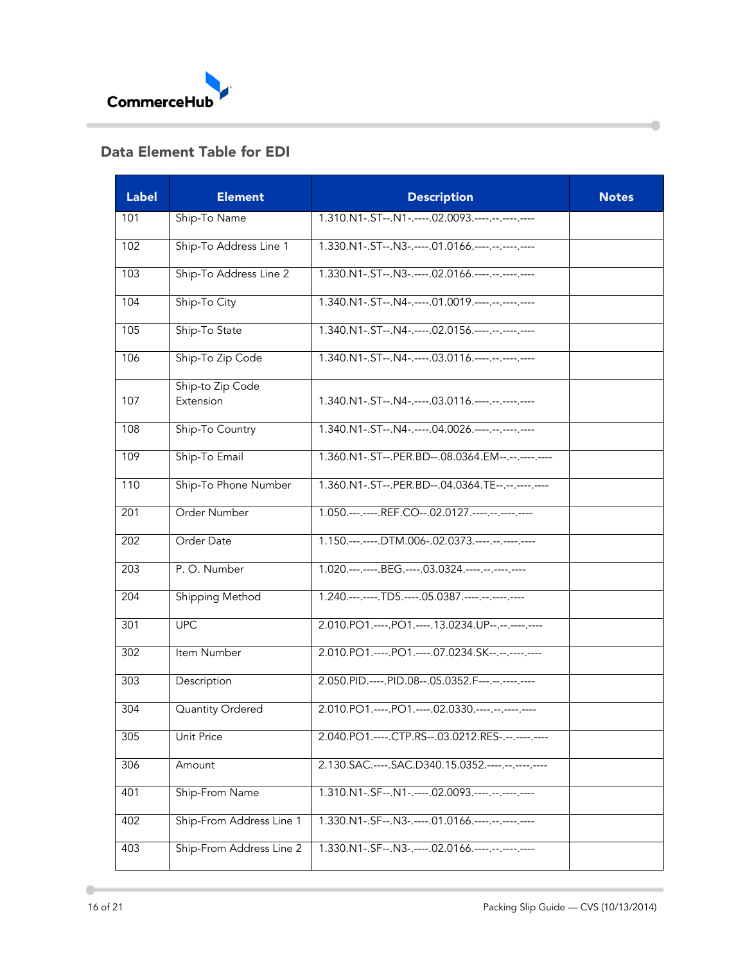

## <span id="page-15-0"></span>Data Element Table for EDI

| <b>Label</b>     | <b>Element</b>                | <b>Description</b>                                      | <b>Notes</b> |
|------------------|-------------------------------|---------------------------------------------------------|--------------|
| 101              | Ship-To Name                  | 1.310.N1-.ST--.N1-.----.02.0093.----.--.----------      |              |
| 102              | Ship-To Address Line 1        | 1.330.N1-.ST--.N3-.----.01.0166.----.--.----------      |              |
| 103              | Ship-To Address Line 2        | 1.330.N1-.ST--.N3-.----.02.0166.----.--.----------      |              |
| 104              | Ship-To City                  | 1.340.N1-.ST--.N4-.----.01.0019.----.--.----------      |              |
| 105              | Ship-To State                 | 1.340.N1-.ST--.N4-.----.02.0156.----.--.----------      |              |
| 106              | Ship-To Zip Code              | 1.340.N1-.ST--.N4-.----.03.0116.----.--.----------      |              |
| 107              | Ship-to Zip Code<br>Extension | 1.340.N1-.ST--.N4-.----.03.0116.----.--.----------      |              |
| 108              | Ship-To Country               | 1.340.N1-.ST--.N4-.----.04.0026.----.--.----------      |              |
| 109              | Ship-To Email                 | 1.360.N1-.ST--.PER.BD--.08.0364.EM--.--.---------       |              |
| 110              | Ship-To Phone Number          | 1.360.N1-.ST--.PER.BD--.04.0364.TE--.--.----.----       |              |
| 201              | Order Number                  | 1.050 .--- .--- .REF.CO--.02.0127 .---- .-- .--- .----  |              |
| $\overline{202}$ | Order Date                    | 1.150.---.----.DTM.006-.02.0373.----.--.----------      |              |
| 203              | P.O. Number                   | 1.020.---.----.BEG.----.03.0324.----.--.-----------     |              |
| 204              | Shipping Method               | 1.240.---.----.TD5.----.05.0387.----.--.----------      |              |
| 301              | <b>UPC</b>                    | 2.010.PO1.----.PO1.----.13.0234.UP--.--.----------      |              |
| 302              | Item Number                   | 2.010.PO1.----.PO1.----.07.0234.SK--.--.----.----       |              |
| 303              | Description                   | 2.050.PID.----.PID.08--.05.0352.F---.--.----.----       |              |
| 304              | Quantity Ordered              | 2.010.PO1.----.PO1.----.02.0330.----.--.---.----        |              |
| 305              | <b>Unit Price</b>             | 2.040.PO1.----.CTP.RS--.03.0212.RES-.--.----.----       |              |
| 306              | Amount                        | 2.130.SAC .---- . SAC.D340.15.0352 .---- .-- .--- .---- |              |
| 401              | Ship-From Name                | 1.310.N1-.SF--.N1-.----.02.0093.----.--.----------      |              |
| 402              | Ship-From Address Line 1      | 1.330.N1-.SF--.N3-.----.01.0166.----.--.----------      |              |
| 403              | Ship-From Address Line 2      | 1.330.N1-.SF--.N3-.----.02.0166.----.--.----------      |              |

Ò

 $\frac{1}{2}$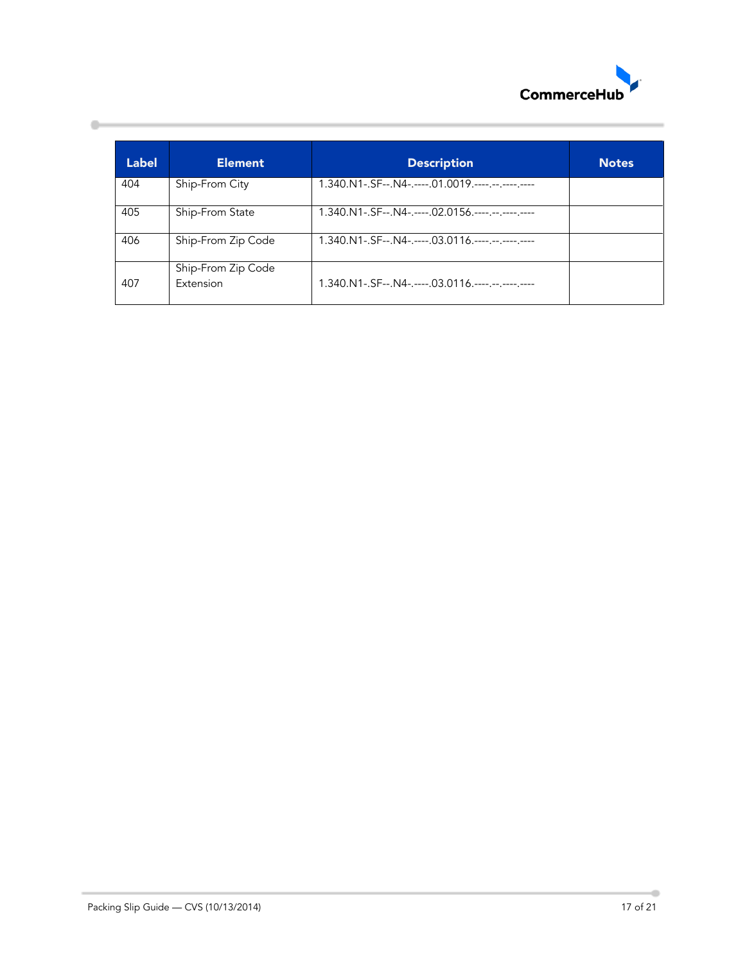

| <b>Label</b> | <b>Element</b>     | <b>Description</b>                                                 | <b>Notes</b> |
|--------------|--------------------|--------------------------------------------------------------------|--------------|
| 404          | Ship-From City     | $1.340 \text{ N}$ 1 - SF-- N4 - ---- 01.0019 ---- -- --- --- ---   |              |
| 405          | Ship-From State    | 1.340.N1-.SF--.N4-.----.02.0156.----.--.---------                  |              |
| 406          | Ship-From Zip Code | $1.340 \text{ N}$ 1 - SF - - N4 - ---- 03.0116 ---- -- -- --- ---  |              |
|              | Ship-From Zip Code |                                                                    |              |
| 407          | <b>Extension</b>   | $1.340 \text{ N}$ 1 - SF-- N4-, ---- 03.0116, ----, --, ----, ---- |              |

 $\qquad \qquad \, \, \text{--}$ 

۰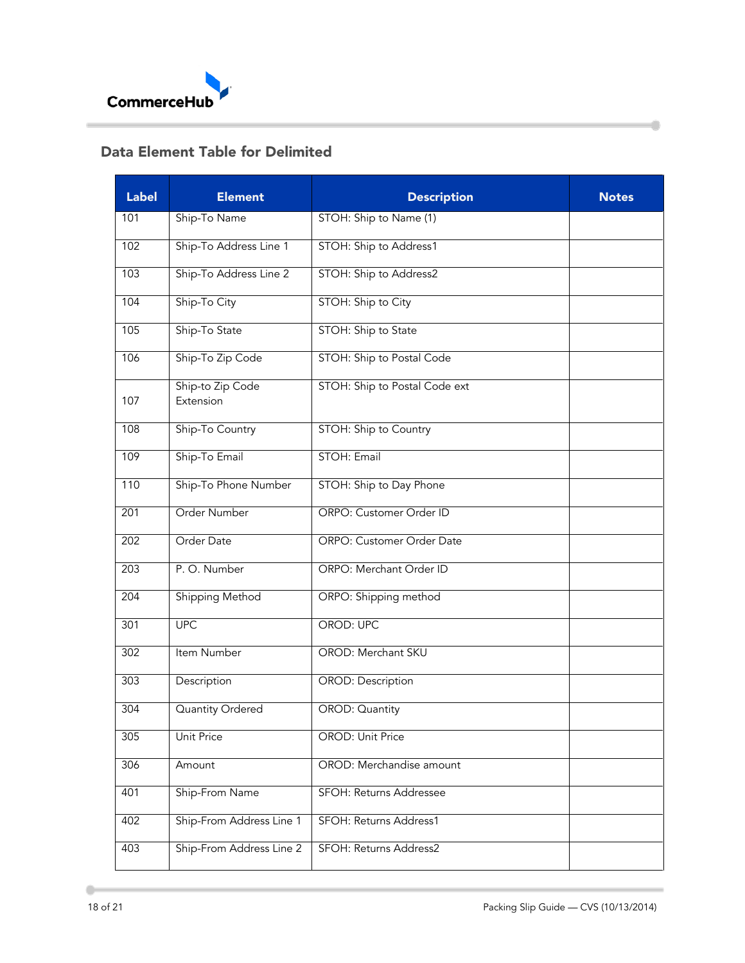

# <span id="page-17-0"></span>Data Element Table for Delimited

| <b>Label</b>     | <b>Element</b>                | <b>Description</b>            | <b>Notes</b> |
|------------------|-------------------------------|-------------------------------|--------------|
| 101              | Ship-To Name                  | STOH: Ship to Name (1)        |              |
| 102              | Ship-To Address Line 1        | STOH: Ship to Address1        |              |
| 103              | Ship-To Address Line 2        | STOH: Ship to Address2        |              |
| 104              | Ship-To City                  | STOH: Ship to City            |              |
| 105              | Ship-To State                 | STOH: Ship to State           |              |
| 106              | Ship-To Zip Code              | STOH: Ship to Postal Code     |              |
| 107              | Ship-to Zip Code<br>Extension | STOH: Ship to Postal Code ext |              |
| 108              | Ship-To Country               | STOH: Ship to Country         |              |
| 109              | Ship-To Email                 | STOH: Email                   |              |
| 110              | Ship-To Phone Number          | STOH: Ship to Day Phone       |              |
| 201              | Order Number                  | ORPO: Customer Order ID       |              |
| $\overline{202}$ | Order Date                    | ORPO: Customer Order Date     |              |
| 203              | P.O. Number                   | ORPO: Merchant Order ID       |              |
| 204              | <b>Shipping Method</b>        | ORPO: Shipping method         |              |
| 301              | <b>UPC</b>                    | <b>OROD: UPC</b>              |              |
| 302              | Item Number                   | OROD: Merchant SKU            |              |
| 303              | Description                   | <b>OROD: Description</b>      |              |
| 304              | Quantity Ordered              | OROD: Quantity                |              |
| 305              | <b>Unit Price</b>             | <b>OROD: Unit Price</b>       |              |
| 306              | Amount                        | OROD: Merchandise amount      |              |
| 401              | Ship-From Name                | SFOH: Returns Addressee       |              |
| 402              | Ship-From Address Line 1      | SFOH: Returns Address1        |              |
| 403              | Ship-From Address Line 2      | SFOH: Returns Address2        |              |

Ò

 $\qquad \qquad \ \, \displaystyle \qquad \qquad$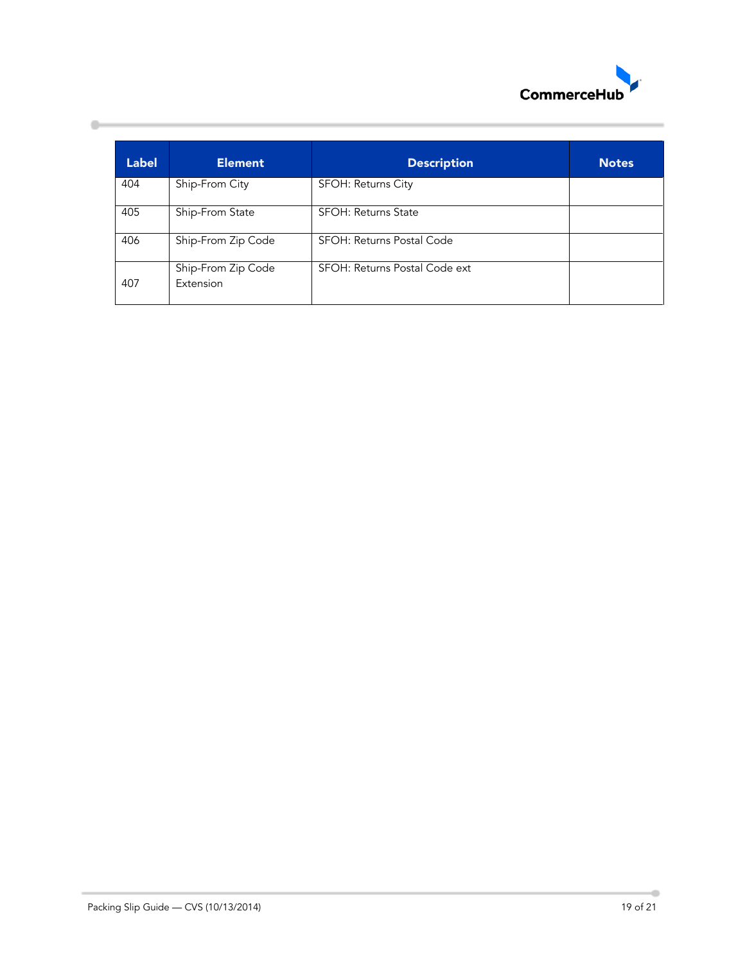

| <b>Label</b> | <b>Element</b>                  | <b>Description</b>            | <b>Notes</b> |
|--------------|---------------------------------|-------------------------------|--------------|
| 404          | Ship-From City                  | SFOH: Returns City            |              |
| 405          | Ship-From State                 | <b>SFOH: Returns State</b>    |              |
| 406          | Ship-From Zip Code              | SFOH: Returns Postal Code     |              |
| 407          | Ship-From Zip Code<br>Extension | SFOH: Returns Postal Code ext |              |

 $\qquad \qquad \, \, \text{--}$ 

۰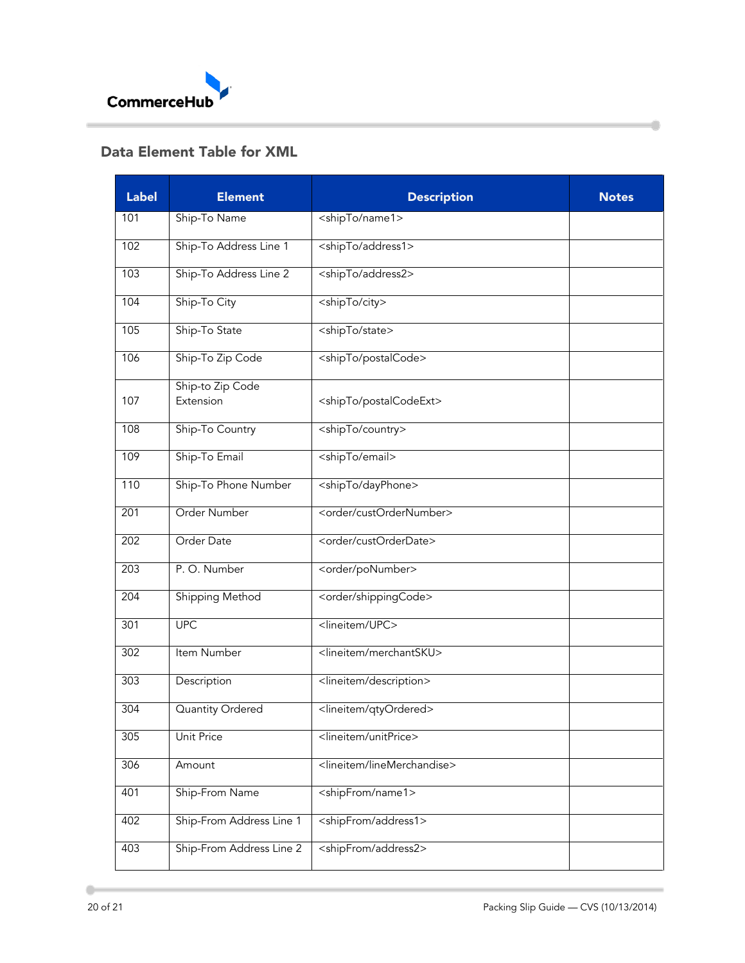

# <span id="page-19-0"></span>Data Element Table for XML

| <b>Label</b> | <b>Element</b>                | <b>Description</b>                       | <b>Notes</b> |
|--------------|-------------------------------|------------------------------------------|--------------|
| 101          | Ship-To Name                  | <shipto name1=""></shipto>               |              |
| 102          | Ship-To Address Line 1        | <shipto address1=""></shipto>            |              |
| 103          | Ship-To Address Line 2        | <shipto address2=""></shipto>            |              |
| 104          | Ship-To City                  | <shipto city=""></shipto>                |              |
| 105          | Ship-To State                 | <shipto state=""></shipto>               |              |
| 106          | Ship-To Zip Code              | <shipto postalcode=""></shipto>          |              |
| 107          | Ship-to Zip Code<br>Extension | <shipto postalcodeext=""></shipto>       |              |
| 108          | Ship-To Country               | <shipto country=""></shipto>             |              |
| 109          | Ship-To Email                 | <shipto email=""></shipto>               |              |
| 110          | Ship-To Phone Number          | <shipto dayphone=""></shipto>            |              |
| 201          | Order Number                  | <order custordernumber=""></order>       |              |
| 202          | Order Date                    | <order custorderdate=""></order>         |              |
| 203          | P.O. Number                   | <order ponumber=""></order>              |              |
| 204          | <b>Shipping Method</b>        | <order shippingcode=""></order>          |              |
| 301          | <b>UPC</b>                    | <lineitem upc=""></lineitem>             |              |
| 302          | Item Number                   | <lineitem merchantsku=""></lineitem>     |              |
| 303          | Description                   | <lineitem description=""></lineitem>     |              |
| 304          | Quantity Ordered              | <lineitem qtyordered=""></lineitem>      |              |
| 305          | <b>Unit Price</b>             | <lineitem unitprice=""></lineitem>       |              |
| 306          | Amount                        | <lineitem linemerchandise=""></lineitem> |              |
| 401          | Ship-From Name                | <shipfrom name1=""></shipfrom>           |              |
| 402          | Ship-From Address Line 1      | <shipfrom address1=""></shipfrom>        |              |
| 403          | Ship-From Address Line 2      | <shipfrom address2=""></shipfrom>        |              |

Ò

 $\qquad \qquad \, \, \text{ }$